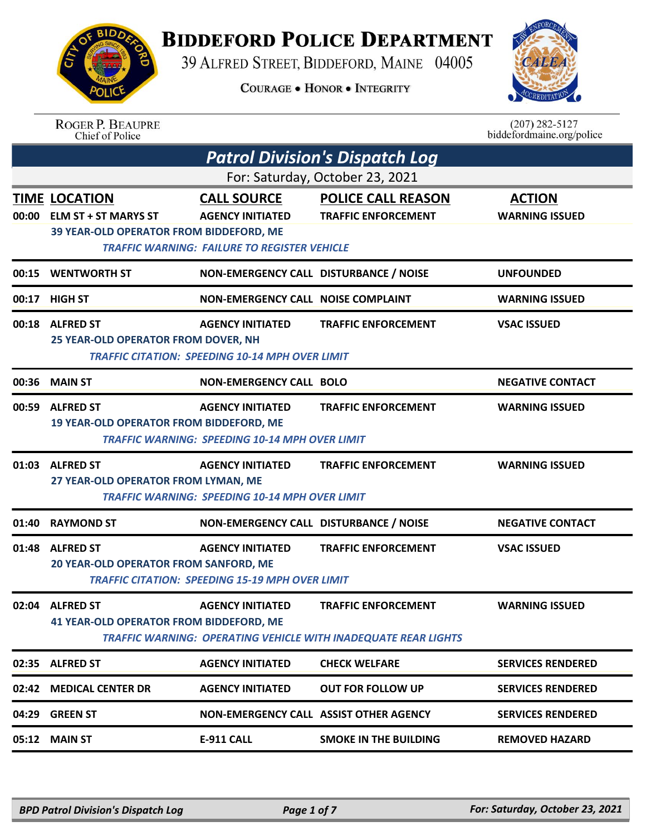## **BIDDEFORD POLICE DEPARTMENT**

39 ALFRED STREET, BIDDEFORD, MAINE 04005

**COURAGE . HONOR . INTEGRITY** 



## ROGER P. BEAUPRE<br>Chief of Police

 $(207)$  282-5127<br>biddefordmaine.org/police

| <b>Patrol Division's Dispatch Log</b> |                                                                                                       |                                                                                                      |                                                                                                     |                                        |  |
|---------------------------------------|-------------------------------------------------------------------------------------------------------|------------------------------------------------------------------------------------------------------|-----------------------------------------------------------------------------------------------------|----------------------------------------|--|
| For: Saturday, October 23, 2021       |                                                                                                       |                                                                                                      |                                                                                                     |                                        |  |
| 00:00                                 | <b>TIME LOCATION</b><br><b>ELM ST + ST MARYS ST</b><br><b>39 YEAR-OLD OPERATOR FROM BIDDEFORD, ME</b> | <b>CALL SOURCE</b><br><b>AGENCY INITIATED</b><br><b>TRAFFIC WARNING: FAILURE TO REGISTER VEHICLE</b> | <b>POLICE CALL REASON</b><br><b>TRAFFIC ENFORCEMENT</b>                                             | <b>ACTION</b><br><b>WARNING ISSUED</b> |  |
|                                       | 00:15 WENTWORTH ST                                                                                    | NON-EMERGENCY CALL DISTURBANCE / NOISE                                                               |                                                                                                     | <b>UNFOUNDED</b>                       |  |
| 00:17                                 | <b>HIGH ST</b>                                                                                        | <b>NON-EMERGENCY CALL NOISE COMPLAINT</b>                                                            |                                                                                                     | <b>WARNING ISSUED</b>                  |  |
|                                       | 00:18 ALFRED ST<br>25 YEAR-OLD OPERATOR FROM DOVER, NH                                                | <b>AGENCY INITIATED</b><br><b>TRAFFIC CITATION: SPEEDING 10-14 MPH OVER LIMIT</b>                    | <b>TRAFFIC ENFORCEMENT</b>                                                                          | <b>VSAC ISSUED</b>                     |  |
|                                       | 00:36 MAIN ST                                                                                         | <b>NON-EMERGENCY CALL BOLO</b>                                                                       |                                                                                                     | <b>NEGATIVE CONTACT</b>                |  |
| 00:59                                 | <b>ALFRED ST</b><br>19 YEAR-OLD OPERATOR FROM BIDDEFORD, ME                                           | <b>AGENCY INITIATED</b><br><b>TRAFFIC WARNING: SPEEDING 10-14 MPH OVER LIMIT</b>                     | <b>TRAFFIC ENFORCEMENT</b>                                                                          | <b>WARNING ISSUED</b>                  |  |
|                                       | 01:03 ALFRED ST<br>27 YEAR-OLD OPERATOR FROM LYMAN, ME                                                | <b>AGENCY INITIATED</b><br><b>TRAFFIC WARNING: SPEEDING 10-14 MPH OVER LIMIT</b>                     | <b>TRAFFIC ENFORCEMENT</b>                                                                          | <b>WARNING ISSUED</b>                  |  |
| 01:40                                 | <b>RAYMOND ST</b>                                                                                     | NON-EMERGENCY CALL DISTURBANCE / NOISE                                                               |                                                                                                     | <b>NEGATIVE CONTACT</b>                |  |
|                                       | 01:48 ALFRED ST<br>20 YEAR-OLD OPERATOR FROM SANFORD, ME                                              | <b>AGENCY INITIATED</b><br><b>TRAFFIC CITATION: SPEEDING 15-19 MPH OVER LIMIT</b>                    | <b>TRAFFIC ENFORCEMENT</b>                                                                          | <b>VSAC ISSUED</b>                     |  |
|                                       | 02:04 ALFRED ST<br>41 YEAR-OLD OPERATOR FROM BIDDEFORD, ME                                            | <b>AGENCY INITIATED</b>                                                                              | <b>TRAFFIC ENFORCEMENT</b><br><b>TRAFFIC WARNING: OPERATING VEHICLE WITH INADEQUATE REAR LIGHTS</b> | <b>WARNING ISSUED</b>                  |  |
|                                       | 02:35 ALFRED ST                                                                                       | <b>AGENCY INITIATED</b>                                                                              | <b>CHECK WELFARE</b>                                                                                | <b>SERVICES RENDERED</b>               |  |
|                                       | 02:42 MEDICAL CENTER DR                                                                               | <b>AGENCY INITIATED</b>                                                                              | <b>OUT FOR FOLLOW UP</b>                                                                            | <b>SERVICES RENDERED</b>               |  |
| 04:29                                 | <b>GREEN ST</b>                                                                                       | NON-EMERGENCY CALL ASSIST OTHER AGENCY                                                               |                                                                                                     | <b>SERVICES RENDERED</b>               |  |
|                                       | 05:12 MAIN ST                                                                                         | <b>E-911 CALL</b>                                                                                    | <b>SMOKE IN THE BUILDING</b>                                                                        | <b>REMOVED HAZARD</b>                  |  |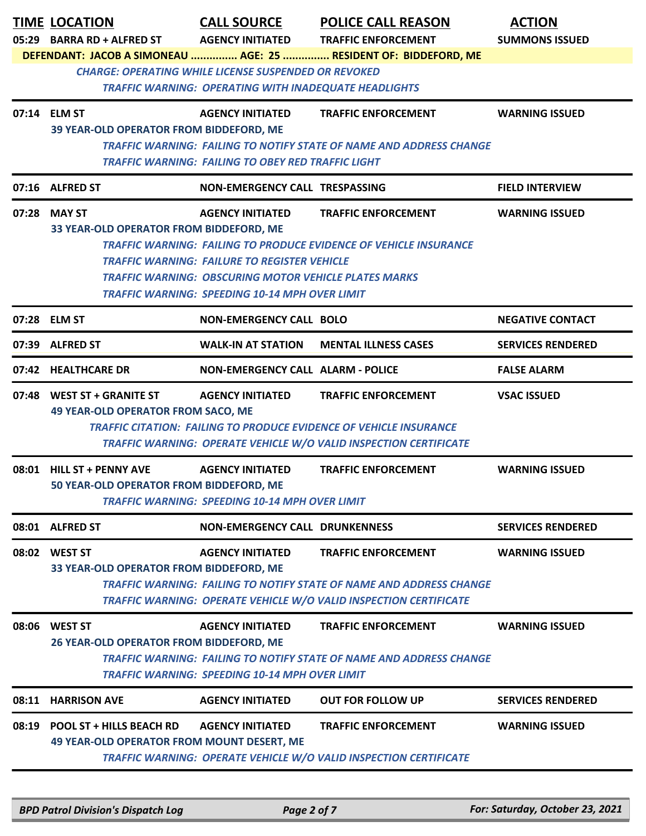|       | <b>TIME LOCATION</b>                                        | <b>CALL SOURCE</b>                                           | <b>POLICE CALL REASON</b>                                                  | <b>ACTION</b>            |  |  |
|-------|-------------------------------------------------------------|--------------------------------------------------------------|----------------------------------------------------------------------------|--------------------------|--|--|
|       | 05:29 BARRA RD + ALFRED ST                                  | <b>AGENCY INITIATED</b>                                      | <b>TRAFFIC ENFORCEMENT</b>                                                 | <b>SUMMONS ISSUED</b>    |  |  |
|       |                                                             |                                                              | DEFENDANT: JACOB A SIMONEAU  AGE: 25  RESIDENT OF: BIDDEFORD, ME           |                          |  |  |
|       | <b>CHARGE: OPERATING WHILE LICENSE SUSPENDED OR REVOKED</b> |                                                              |                                                                            |                          |  |  |
|       |                                                             | <b>TRAFFIC WARNING: OPERATING WITH INADEQUATE HEADLIGHTS</b> |                                                                            |                          |  |  |
|       | 07:14 ELM ST                                                | <b>AGENCY INITIATED</b>                                      | <b>TRAFFIC ENFORCEMENT</b>                                                 | <b>WARNING ISSUED</b>    |  |  |
|       | 39 YEAR-OLD OPERATOR FROM BIDDEFORD, ME                     |                                                              |                                                                            |                          |  |  |
|       |                                                             |                                                              | <b>TRAFFIC WARNING: FAILING TO NOTIFY STATE OF NAME AND ADDRESS CHANGE</b> |                          |  |  |
|       |                                                             | TRAFFIC WARNING: FAILING TO OBEY RED TRAFFIC LIGHT           |                                                                            |                          |  |  |
|       | 07:16 ALFRED ST                                             | NON-EMERGENCY CALL TRESPASSING                               |                                                                            | <b>FIELD INTERVIEW</b>   |  |  |
|       | 07:28 MAY ST                                                | <b>AGENCY INITIATED</b>                                      | <b>TRAFFIC ENFORCEMENT</b>                                                 | <b>WARNING ISSUED</b>    |  |  |
|       | 33 YEAR-OLD OPERATOR FROM BIDDEFORD, ME                     |                                                              |                                                                            |                          |  |  |
|       |                                                             |                                                              | <b>TRAFFIC WARNING: FAILING TO PRODUCE EVIDENCE OF VEHICLE INSURANCE</b>   |                          |  |  |
|       |                                                             | <b>TRAFFIC WARNING: FAILURE TO REGISTER VEHICLE</b>          |                                                                            |                          |  |  |
|       |                                                             | <b>TRAFFIC WARNING: OBSCURING MOTOR VEHICLE PLATES MARKS</b> |                                                                            |                          |  |  |
|       |                                                             | <b>TRAFFIC WARNING: SPEEDING 10-14 MPH OVER LIMIT</b>        |                                                                            |                          |  |  |
|       | 07:28 ELM ST                                                | <b>NON-EMERGENCY CALL BOLO</b>                               |                                                                            | <b>NEGATIVE CONTACT</b>  |  |  |
| 07:39 | <b>ALFRED ST</b>                                            | <b>WALK-IN AT STATION</b>                                    | <b>MENTAL ILLNESS CASES</b>                                                | <b>SERVICES RENDERED</b> |  |  |
|       | 07:42 HEALTHCARE DR                                         | <b>NON-EMERGENCY CALL ALARM - POLICE</b>                     |                                                                            | <b>FALSE ALARM</b>       |  |  |
|       | 07:48 WEST ST + GRANITE ST                                  | <b>AGENCY INITIATED</b>                                      | <b>TRAFFIC ENFORCEMENT</b>                                                 | <b>VSAC ISSUED</b>       |  |  |
|       | 49 YEAR-OLD OPERATOR FROM SACO, ME                          |                                                              |                                                                            |                          |  |  |
|       |                                                             |                                                              | <b>TRAFFIC CITATION: FAILING TO PRODUCE EVIDENCE OF VEHICLE INSURANCE</b>  |                          |  |  |
|       |                                                             |                                                              | <b>TRAFFIC WARNING: OPERATE VEHICLE W/O VALID INSPECTION CERTIFICATE</b>   |                          |  |  |
|       | 08:01 HILL ST + PENNY AVE                                   | <b>AGENCY INITIATED</b>                                      | <b>TRAFFIC ENFORCEMENT</b>                                                 | <b>WARNING ISSUED</b>    |  |  |
|       | <b>50 YEAR-OLD OPERATOR FROM BIDDEFORD, ME</b>              |                                                              |                                                                            |                          |  |  |
|       |                                                             | <b>TRAFFIC WARNING: SPEEDING 10-14 MPH OVER LIMIT</b>        |                                                                            |                          |  |  |
|       | 08:01 ALFRED ST                                             | <b>NON-EMERGENCY CALL DRUNKENNESS</b>                        |                                                                            | <b>SERVICES RENDERED</b> |  |  |
|       | 08:02 WEST ST                                               | <b>AGENCY INITIATED</b>                                      | <b>TRAFFIC ENFORCEMENT</b>                                                 | <b>WARNING ISSUED</b>    |  |  |
|       | 33 YEAR-OLD OPERATOR FROM BIDDEFORD, ME                     |                                                              |                                                                            |                          |  |  |
|       |                                                             |                                                              | <b>TRAFFIC WARNING: FAILING TO NOTIFY STATE OF NAME AND ADDRESS CHANGE</b> |                          |  |  |
|       |                                                             |                                                              | <b>TRAFFIC WARNING: OPERATE VEHICLE W/O VALID INSPECTION CERTIFICATE</b>   |                          |  |  |
|       |                                                             |                                                              |                                                                            |                          |  |  |
|       | 08:06 WEST ST<br>26 YEAR-OLD OPERATOR FROM BIDDEFORD, ME    | <b>AGENCY INITIATED</b>                                      | <b>TRAFFIC ENFORCEMENT</b>                                                 | <b>WARNING ISSUED</b>    |  |  |
|       |                                                             |                                                              | <b>TRAFFIC WARNING: FAILING TO NOTIFY STATE OF NAME AND ADDRESS CHANGE</b> |                          |  |  |
|       |                                                             | TRAFFIC WARNING: SPEEDING 10-14 MPH OVER LIMIT               |                                                                            |                          |  |  |
|       |                                                             |                                                              |                                                                            |                          |  |  |
| 08:11 | <b>HARRISON AVE</b>                                         | <b>AGENCY INITIATED</b>                                      | <b>OUT FOR FOLLOW UP</b>                                                   | <b>SERVICES RENDERED</b> |  |  |
|       | 08:19 POOL ST + HILLS BEACH RD                              | <b>AGENCY INITIATED</b>                                      | <b>TRAFFIC ENFORCEMENT</b>                                                 | <b>WARNING ISSUED</b>    |  |  |
|       | <b>49 YEAR-OLD OPERATOR FROM MOUNT DESERT, ME</b>           |                                                              |                                                                            |                          |  |  |
|       |                                                             |                                                              | <b>TRAFFIC WARNING: OPERATE VEHICLE W/O VALID INSPECTION CERTIFICATE</b>   |                          |  |  |
|       |                                                             |                                                              |                                                                            |                          |  |  |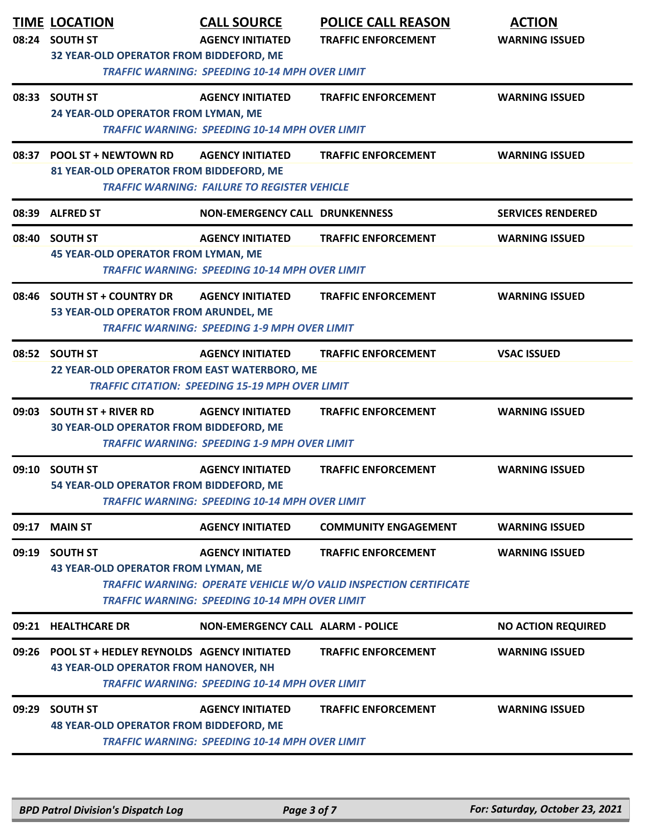|       | <b>TIME LOCATION</b><br>08:24 SOUTH ST<br>32 YEAR-OLD OPERATOR FROM BIDDEFORD, ME                | <b>CALL SOURCE</b><br><b>AGENCY INITIATED</b><br><b>TRAFFIC WARNING: SPEEDING 10-14 MPH OVER LIMIT</b> | <b>POLICE CALL REASON</b><br><b>TRAFFIC ENFORCEMENT</b>                                                | <b>ACTION</b><br><b>WARNING ISSUED</b> |
|-------|--------------------------------------------------------------------------------------------------|--------------------------------------------------------------------------------------------------------|--------------------------------------------------------------------------------------------------------|----------------------------------------|
|       | 08:33 SOUTH ST<br>24 YEAR-OLD OPERATOR FROM LYMAN, ME                                            | <b>AGENCY INITIATED</b><br><b>TRAFFIC WARNING: SPEEDING 10-14 MPH OVER LIMIT</b>                       | <b>TRAFFIC ENFORCEMENT</b>                                                                             | <b>WARNING ISSUED</b>                  |
| 08:37 | <b>POOL ST + NEWTOWN RD</b><br>81 YEAR-OLD OPERATOR FROM BIDDEFORD, ME                           | <b>AGENCY INITIATED</b><br><b>TRAFFIC WARNING: FAILURE TO REGISTER VEHICLE</b>                         | <b>TRAFFIC ENFORCEMENT</b>                                                                             | <b>WARNING ISSUED</b>                  |
|       | 08:39 ALFRED ST                                                                                  | <b>NON-EMERGENCY CALL DRUNKENNESS</b>                                                                  |                                                                                                        | <b>SERVICES RENDERED</b>               |
|       | 08:40 SOUTH ST<br><b>45 YEAR-OLD OPERATOR FROM LYMAN, ME</b>                                     | <b>AGENCY INITIATED</b><br><b>TRAFFIC WARNING: SPEEDING 10-14 MPH OVER LIMIT</b>                       | <b>TRAFFIC ENFORCEMENT</b>                                                                             | <b>WARNING ISSUED</b>                  |
|       | 08:46 SOUTH ST + COUNTRY DR<br>53 YEAR-OLD OPERATOR FROM ARUNDEL, ME                             | <b>AGENCY INITIATED</b><br><b>TRAFFIC WARNING: SPEEDING 1-9 MPH OVER LIMIT</b>                         | <b>TRAFFIC ENFORCEMENT</b>                                                                             | <b>WARNING ISSUED</b>                  |
|       | 08:52 SOUTH ST<br>22 YEAR-OLD OPERATOR FROM EAST WATERBORO, ME                                   | <b>AGENCY INITIATED</b><br><b>TRAFFIC CITATION: SPEEDING 15-19 MPH OVER LIMIT</b>                      | <b>TRAFFIC ENFORCEMENT</b>                                                                             | <b>VSAC ISSUED</b>                     |
| 09:03 | <b>SOUTH ST + RIVER RD</b><br><b>30 YEAR-OLD OPERATOR FROM BIDDEFORD, ME</b>                     | <b>AGENCY INITIATED</b><br><b>TRAFFIC WARNING: SPEEDING 1-9 MPH OVER LIMIT</b>                         | <b>TRAFFIC ENFORCEMENT</b>                                                                             | <b>WARNING ISSUED</b>                  |
|       | 09:10 SOUTH ST<br>54 YEAR-OLD OPERATOR FROM BIDDEFORD, ME                                        | <b>AGENCY INITIATED</b><br><b>TRAFFIC WARNING: SPEEDING 10-14 MPH OVER LIMIT</b>                       | <b>TRAFFIC ENFORCEMENT</b>                                                                             | <b>WARNING ISSUED</b>                  |
| 09:17 | <b>MAIN ST</b>                                                                                   | <b>AGENCY INITIATED</b>                                                                                | <b>COMMUNITY ENGAGEMENT</b>                                                                            | <b>WARNING ISSUED</b>                  |
|       | 09:19 SOUTH ST<br><b>43 YEAR-OLD OPERATOR FROM LYMAN, ME</b>                                     | <b>AGENCY INITIATED</b><br><b>TRAFFIC WARNING: SPEEDING 10-14 MPH OVER LIMIT</b>                       | <b>TRAFFIC ENFORCEMENT</b><br><b>TRAFFIC WARNING: OPERATE VEHICLE W/O VALID INSPECTION CERTIFICATE</b> | <b>WARNING ISSUED</b>                  |
|       | 09:21 HEALTHCARE DR                                                                              | <b>NON-EMERGENCY CALL ALARM - POLICE</b>                                                               |                                                                                                        | <b>NO ACTION REQUIRED</b>              |
|       | 09:26 POOL ST + HEDLEY REYNOLDS AGENCY INITIATED<br><b>43 YEAR-OLD OPERATOR FROM HANOVER, NH</b> | <b>TRAFFIC WARNING: SPEEDING 10-14 MPH OVER LIMIT</b>                                                  | <b>TRAFFIC ENFORCEMENT</b>                                                                             | <b>WARNING ISSUED</b>                  |
| 09:29 | <b>SOUTH ST</b><br><b>48 YEAR-OLD OPERATOR FROM BIDDEFORD, ME</b>                                | <b>AGENCY INITIATED</b><br><b>TRAFFIC WARNING: SPEEDING 10-14 MPH OVER LIMIT</b>                       | <b>TRAFFIC ENFORCEMENT</b>                                                                             | <b>WARNING ISSUED</b>                  |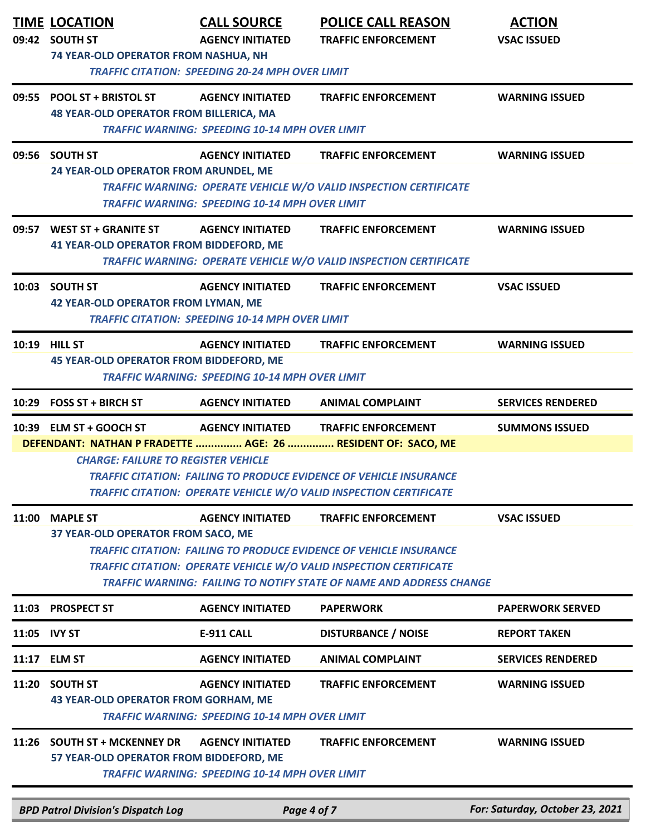|              | <b>TIME LOCATION</b><br>09:42 SOUTH ST<br>74 YEAR-OLD OPERATOR FROM NASHUA, NH | <b>CALL SOURCE</b><br><b>AGENCY INITIATED</b><br><b>TRAFFIC CITATION: SPEEDING 20-24 MPH OVER LIMIT</b> | <b>POLICE CALL REASON</b><br><b>TRAFFIC ENFORCEMENT</b>                                                                                                                                                                                                     | <b>ACTION</b><br><b>VSAC ISSUED</b> |
|--------------|--------------------------------------------------------------------------------|---------------------------------------------------------------------------------------------------------|-------------------------------------------------------------------------------------------------------------------------------------------------------------------------------------------------------------------------------------------------------------|-------------------------------------|
|              | 09:55 POOL ST + BRISTOL ST<br><b>48 YEAR-OLD OPERATOR FROM BILLERICA, MA</b>   | <b>AGENCY INITIATED</b><br><b>TRAFFIC WARNING: SPEEDING 10-14 MPH OVER LIMIT</b>                        | <b>TRAFFIC ENFORCEMENT</b>                                                                                                                                                                                                                                  | <b>WARNING ISSUED</b>               |
|              | 09:56 SOUTH ST<br>24 YEAR-OLD OPERATOR FROM ARUNDEL, ME                        | <b>AGENCY INITIATED</b><br><b>TRAFFIC WARNING: SPEEDING 10-14 MPH OVER LIMIT</b>                        | <b>TRAFFIC ENFORCEMENT</b><br><b>TRAFFIC WARNING: OPERATE VEHICLE W/O VALID INSPECTION CERTIFICATE</b>                                                                                                                                                      | <b>WARNING ISSUED</b>               |
|              | 09:57 WEST ST + GRANITE ST<br><b>41 YEAR-OLD OPERATOR FROM BIDDEFORD, ME</b>   | <b>AGENCY INITIATED</b>                                                                                 | <b>TRAFFIC ENFORCEMENT</b><br><b>TRAFFIC WARNING: OPERATE VEHICLE W/O VALID INSPECTION CERTIFICATE</b>                                                                                                                                                      | <b>WARNING ISSUED</b>               |
|              | 10:03 SOUTH ST<br><b>42 YEAR-OLD OPERATOR FROM LYMAN, ME</b>                   | <b>AGENCY INITIATED</b><br><b>TRAFFIC CITATION: SPEEDING 10-14 MPH OVER LIMIT</b>                       | <b>TRAFFIC ENFORCEMENT</b>                                                                                                                                                                                                                                  | <b>VSAC ISSUED</b>                  |
|              | 10:19 HILL ST<br><b>45 YEAR-OLD OPERATOR FROM BIDDEFORD, ME</b>                | <b>AGENCY INITIATED</b><br><b>TRAFFIC WARNING: SPEEDING 10-14 MPH OVER LIMIT</b>                        | <b>TRAFFIC ENFORCEMENT</b>                                                                                                                                                                                                                                  | <b>WARNING ISSUED</b>               |
| 10:29        | <b>FOSS ST + BIRCH ST</b>                                                      | <b>AGENCY INITIATED</b>                                                                                 | <b>ANIMAL COMPLAINT</b>                                                                                                                                                                                                                                     | <b>SERVICES RENDERED</b>            |
|              | 10:39 ELM ST + GOOCH ST<br><b>CHARGE: FAILURE TO REGISTER VEHICLE</b>          | <b>AGENCY INITIATED</b>                                                                                 | <b>TRAFFIC ENFORCEMENT</b><br>DEFENDANT: NATHAN P FRADETTE  AGE: 26  RESIDENT OF: SACO, ME<br><b>TRAFFIC CITATION: FAILING TO PRODUCE EVIDENCE OF VEHICLE INSURANCE</b><br><b>TRAFFIC CITATION: OPERATE VEHICLE W/O VALID INSPECTION CERTIFICATE</b>        | <b>SUMMONS ISSUED</b>               |
|              | 11:00 MAPLE ST<br>37 YEAR-OLD OPERATOR FROM SACO, ME                           | <b>AGENCY INITIATED</b>                                                                                 | <b>TRAFFIC ENFORCEMENT</b><br><b>TRAFFIC CITATION: FAILING TO PRODUCE EVIDENCE OF VEHICLE INSURANCE</b><br><b>TRAFFIC CITATION: OPERATE VEHICLE W/O VALID INSPECTION CERTIFICATE</b><br>TRAFFIC WARNING: FAILING TO NOTIFY STATE OF NAME AND ADDRESS CHANGE | <b>VSAC ISSUED</b>                  |
| 11:03        | <b>PROSPECT ST</b>                                                             | <b>AGENCY INITIATED</b>                                                                                 | <b>PAPERWORK</b>                                                                                                                                                                                                                                            | <b>PAPERWORK SERVED</b>             |
| 11:05 IVY ST |                                                                                | <b>E-911 CALL</b>                                                                                       | <b>DISTURBANCE / NOISE</b>                                                                                                                                                                                                                                  | <b>REPORT TAKEN</b>                 |
| 11:17        | <b>ELM ST</b>                                                                  | <b>AGENCY INITIATED</b>                                                                                 | <b>ANIMAL COMPLAINT</b>                                                                                                                                                                                                                                     | <b>SERVICES RENDERED</b>            |
| 11:20        | <b>SOUTH ST</b><br><b>43 YEAR-OLD OPERATOR FROM GORHAM, ME</b>                 | <b>AGENCY INITIATED</b><br><b>TRAFFIC WARNING: SPEEDING 10-14 MPH OVER LIMIT</b>                        | <b>TRAFFIC ENFORCEMENT</b>                                                                                                                                                                                                                                  | <b>WARNING ISSUED</b>               |
|              | 11:26 SOUTH ST + MCKENNEY DR<br>57 YEAR-OLD OPERATOR FROM BIDDEFORD, ME        | <b>AGENCY INITIATED</b><br><b>TRAFFIC WARNING: SPEEDING 10-14 MPH OVER LIMIT</b>                        | <b>TRAFFIC ENFORCEMENT</b>                                                                                                                                                                                                                                  | <b>WARNING ISSUED</b>               |
|              | <b>BPD Patrol Division's Dispatch Log</b>                                      |                                                                                                         | Page 4 of 7                                                                                                                                                                                                                                                 | For: Saturday, October 23, 2021     |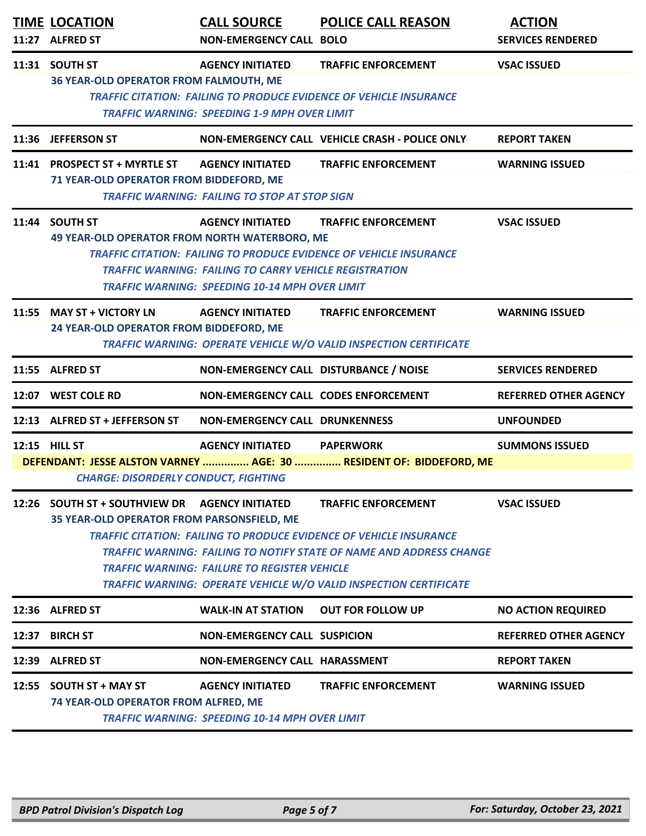|       | <b>TIME LOCATION</b><br>11:27 ALFRED ST                                                         | <b>CALL SOURCE</b><br><b>NON-EMERGENCY CALL BOLO</b>                                                                                | <b>POLICE CALL REASON</b>                                                                                                                                                                                                                    | <b>ACTION</b><br><b>SERVICES RENDERED</b> |
|-------|-------------------------------------------------------------------------------------------------|-------------------------------------------------------------------------------------------------------------------------------------|----------------------------------------------------------------------------------------------------------------------------------------------------------------------------------------------------------------------------------------------|-------------------------------------------|
|       | 11:31 SOUTH ST<br><b>36 YEAR-OLD OPERATOR FROM FALMOUTH, ME</b>                                 | <b>AGENCY INITIATED</b><br><b>TRAFFIC WARNING: SPEEDING 1-9 MPH OVER LIMIT</b>                                                      | <b>TRAFFIC ENFORCEMENT</b><br><b>TRAFFIC CITATION: FAILING TO PRODUCE EVIDENCE OF VEHICLE INSURANCE</b>                                                                                                                                      | <b>VSAC ISSUED</b>                        |
|       | 11:36 JEFFERSON ST                                                                              |                                                                                                                                     | NON-EMERGENCY CALL VEHICLE CRASH - POLICE ONLY                                                                                                                                                                                               | <b>REPORT TAKEN</b>                       |
|       | 11:41 PROSPECT ST + MYRTLE ST<br>71 YEAR-OLD OPERATOR FROM BIDDEFORD, ME                        | <b>AGENCY INITIATED</b><br><b>TRAFFIC WARNING: FAILING TO STOP AT STOP SIGN</b>                                                     | <b>TRAFFIC ENFORCEMENT</b>                                                                                                                                                                                                                   | <b>WARNING ISSUED</b>                     |
|       | 11:44 SOUTH ST<br>49 YEAR-OLD OPERATOR FROM NORTH WATERBORO, ME                                 | <b>AGENCY INITIATED</b><br>TRAFFIC WARNING: FAILING TO CARRY VEHICLE REGISTRATION<br>TRAFFIC WARNING: SPEEDING 10-14 MPH OVER LIMIT | <b>TRAFFIC ENFORCEMENT</b><br><b>TRAFFIC CITATION: FAILING TO PRODUCE EVIDENCE OF VEHICLE INSURANCE</b>                                                                                                                                      | <b>VSAC ISSUED</b>                        |
|       | 11:55 MAY ST + VICTORY LN<br>24 YEAR-OLD OPERATOR FROM BIDDEFORD, ME                            | <b>AGENCY INITIATED</b>                                                                                                             | <b>TRAFFIC ENFORCEMENT</b><br>TRAFFIC WARNING: OPERATE VEHICLE W/O VALID INSPECTION CERTIFICATE                                                                                                                                              | <b>WARNING ISSUED</b>                     |
|       | 11:55 ALFRED ST                                                                                 | NON-EMERGENCY CALL DISTURBANCE / NOISE                                                                                              |                                                                                                                                                                                                                                              | <b>SERVICES RENDERED</b>                  |
|       | 12:07 WEST COLE RD                                                                              | NON-EMERGENCY CALL CODES ENFORCEMENT                                                                                                |                                                                                                                                                                                                                                              | <b>REFERRED OTHER AGENCY</b>              |
|       | 12:13 ALFRED ST + JEFFERSON ST                                                                  | <b>NON-EMERGENCY CALL DRUNKENNESS</b>                                                                                               |                                                                                                                                                                                                                                              | <b>UNFOUNDED</b>                          |
|       | 12:15 HILL ST                                                                                   | <b>AGENCY INITIATED</b>                                                                                                             | <b>PAPERWORK</b>                                                                                                                                                                                                                             | <b>SUMMONS ISSUED</b>                     |
|       | <b>CHARGE: DISORDERLY CONDUCT, FIGHTING</b>                                                     |                                                                                                                                     | DEFENDANT: JESSE ALSTON VARNEY  AGE: 30  RESIDENT OF: BIDDEFORD, ME                                                                                                                                                                          |                                           |
|       | 12:26 SOUTH ST + SOUTHVIEW DR    AGENCY INITIATED<br>35 YEAR-OLD OPERATOR FROM PARSONSFIELD, ME | TRAFFIC WARNING: FAILURE TO REGISTER VEHICLE                                                                                        | <b>TRAFFIC ENFORCEMENT</b><br>TRAFFIC CITATION: FAILING TO PRODUCE EVIDENCE OF VEHICLE INSURANCE<br>TRAFFIC WARNING: FAILING TO NOTIFY STATE OF NAME AND ADDRESS CHANGE<br>TRAFFIC WARNING: OPERATE VEHICLE W/O VALID INSPECTION CERTIFICATE | <b>VSAC ISSUED</b>                        |
|       | 12:36 ALFRED ST                                                                                 | <b>WALK-IN AT STATION</b>                                                                                                           | <b>OUT FOR FOLLOW UP</b>                                                                                                                                                                                                                     | <b>NO ACTION REQUIRED</b>                 |
| 12:37 | <b>BIRCH ST</b>                                                                                 | <b>NON-EMERGENCY CALL SUSPICION</b>                                                                                                 |                                                                                                                                                                                                                                              | <b>REFERRED OTHER AGENCY</b>              |
|       | 12:39 ALFRED ST                                                                                 | NON-EMERGENCY CALL HARASSMENT                                                                                                       |                                                                                                                                                                                                                                              | <b>REPORT TAKEN</b>                       |
|       | 12:55 SOUTH ST + MAY ST<br>74 YEAR-OLD OPERATOR FROM ALFRED, ME                                 | <b>AGENCY INITIATED</b><br><b>TRAFFIC WARNING: SPEEDING 10-14 MPH OVER LIMIT</b>                                                    | <b>TRAFFIC ENFORCEMENT</b>                                                                                                                                                                                                                   | <b>WARNING ISSUED</b>                     |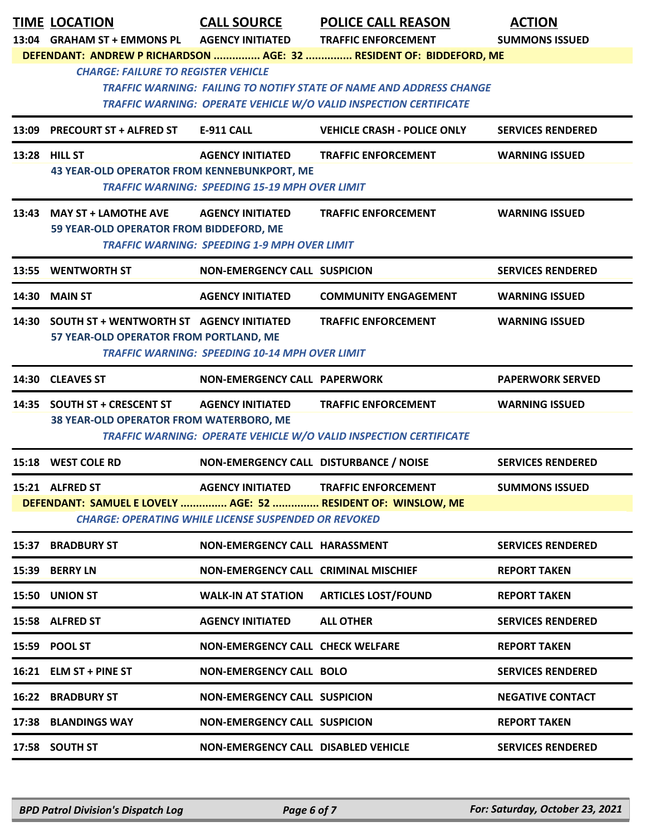|       | <b>TIME LOCATION</b>                           | <b>CALL SOURCE</b>                                          | <b>POLICE CALL REASON</b>                                                  | <b>ACTION</b>            |
|-------|------------------------------------------------|-------------------------------------------------------------|----------------------------------------------------------------------------|--------------------------|
|       | 13:04 GRAHAM ST + EMMONS PL                    | <b>AGENCY INITIATED</b>                                     | <b>TRAFFIC ENFORCEMENT</b>                                                 | <b>SUMMONS ISSUED</b>    |
|       | <b>CHARGE: FAILURE TO REGISTER VEHICLE</b>     |                                                             | DEFENDANT: ANDREW P RICHARDSON  AGE: 32  RESIDENT OF: BIDDEFORD, ME        |                          |
|       |                                                |                                                             | <b>TRAFFIC WARNING: FAILING TO NOTIFY STATE OF NAME AND ADDRESS CHANGE</b> |                          |
|       |                                                |                                                             | <b>TRAFFIC WARNING: OPERATE VEHICLE W/O VALID INSPECTION CERTIFICATE</b>   |                          |
| 13:09 | <b>PRECOURT ST + ALFRED ST</b>                 | <b>E-911 CALL</b>                                           | <b>VEHICLE CRASH - POLICE ONLY</b>                                         | <b>SERVICES RENDERED</b> |
|       | 13:28 HILL ST                                  | <b>AGENCY INITIATED</b>                                     | <b>TRAFFIC ENFORCEMENT</b>                                                 | <b>WARNING ISSUED</b>    |
|       | 43 YEAR-OLD OPERATOR FROM KENNEBUNKPORT, ME    | <b>TRAFFIC WARNING: SPEEDING 15-19 MPH OVER LIMIT</b>       |                                                                            |                          |
|       | 13:43 MAY ST + LAMOTHE AVE                     | <b>AGENCY INITIATED</b>                                     | <b>TRAFFIC ENFORCEMENT</b>                                                 | <b>WARNING ISSUED</b>    |
|       | 59 YEAR-OLD OPERATOR FROM BIDDEFORD, ME        |                                                             |                                                                            |                          |
|       |                                                | <b>TRAFFIC WARNING: SPEEDING 1-9 MPH OVER LIMIT</b>         |                                                                            |                          |
|       | 13:55 WENTWORTH ST                             | <b>NON-EMERGENCY CALL SUSPICION</b>                         |                                                                            | <b>SERVICES RENDERED</b> |
| 14:30 | <b>MAIN ST</b>                                 | <b>AGENCY INITIATED</b>                                     | <b>COMMUNITY ENGAGEMENT</b>                                                | <b>WARNING ISSUED</b>    |
|       | 14:30 SOUTH ST + WENTWORTH ST AGENCY INITIATED |                                                             | <b>TRAFFIC ENFORCEMENT</b>                                                 | <b>WARNING ISSUED</b>    |
|       | 57 YEAR-OLD OPERATOR FROM PORTLAND, ME         | <b>TRAFFIC WARNING: SPEEDING 10-14 MPH OVER LIMIT</b>       |                                                                            |                          |
|       |                                                |                                                             |                                                                            |                          |
|       | 14:30 CLEAVES ST                               | <b>NON-EMERGENCY CALL PAPERWORK</b>                         |                                                                            | <b>PAPERWORK SERVED</b>  |
|       | 14:35 SOUTH ST + CRESCENT ST                   | <b>AGENCY INITIATED</b>                                     | <b>TRAFFIC ENFORCEMENT</b>                                                 | <b>WARNING ISSUED</b>    |
|       | 38 YEAR-OLD OPERATOR FROM WATERBORO, ME        |                                                             | TRAFFIC WARNING: OPERATE VEHICLE W/O VALID INSPECTION CERTIFICATE          |                          |
|       |                                                |                                                             |                                                                            |                          |
|       | 15:18 WEST COLE RD                             | NON-EMERGENCY CALL DISTURBANCE / NOISE                      |                                                                            | <b>SERVICES RENDERED</b> |
|       | 15:21 ALFRED ST                                |                                                             | <b>AGENCY INITIATED TRAFFIC ENFORCEMENT</b>                                | <b>SUMMONS ISSUED</b>    |
|       |                                                | <b>CHARGE: OPERATING WHILE LICENSE SUSPENDED OR REVOKED</b> | DEFENDANT: SAMUEL E LOVELY  AGE: 52  RESIDENT OF: WINSLOW, ME              |                          |
|       | <b>15:37 BRADBURY ST</b>                       | NON-EMERGENCY CALL HARASSMENT                               |                                                                            |                          |
|       |                                                |                                                             |                                                                            | <b>SERVICES RENDERED</b> |
|       | 15:39 BERRY LN                                 | <b>NON-EMERGENCY CALL CRIMINAL MISCHIEF</b>                 |                                                                            | <b>REPORT TAKEN</b>      |
|       | 15:50 UNION ST                                 | <b>WALK-IN AT STATION</b>                                   | <b>ARTICLES LOST/FOUND</b>                                                 | <b>REPORT TAKEN</b>      |
|       | 15:58 ALFRED ST                                | <b>AGENCY INITIATED</b>                                     | <b>ALL OTHER</b>                                                           | <b>SERVICES RENDERED</b> |
|       | 15:59 POOL ST                                  | <b>NON-EMERGENCY CALL CHECK WELFARE</b>                     |                                                                            | <b>REPORT TAKEN</b>      |
|       | 16:21 ELM ST + PINE ST                         | <b>NON-EMERGENCY CALL BOLO</b>                              |                                                                            | <b>SERVICES RENDERED</b> |
|       | <b>16:22 BRADBURY ST</b>                       | <b>NON-EMERGENCY CALL SUSPICION</b>                         |                                                                            | <b>NEGATIVE CONTACT</b>  |
|       | 17:38 BLANDINGS WAY                            | <b>NON-EMERGENCY CALL SUSPICION</b>                         |                                                                            | <b>REPORT TAKEN</b>      |
|       | 17:58 SOUTH ST                                 | <b>NON-EMERGENCY CALL DISABLED VEHICLE</b>                  |                                                                            | <b>SERVICES RENDERED</b> |